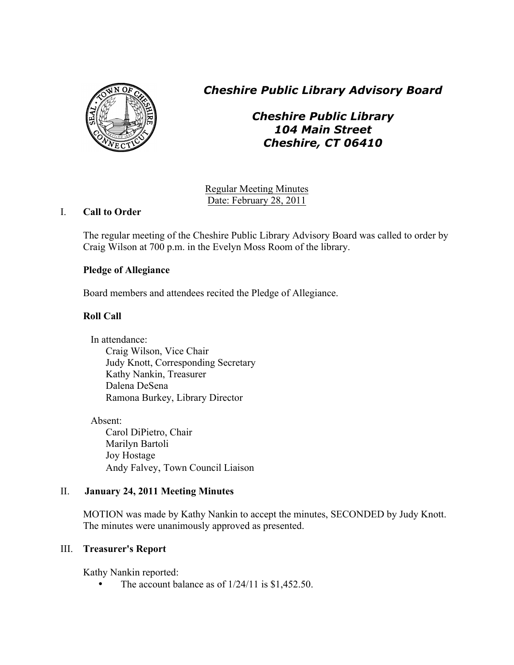

*Cheshire Public Library Advisory Board*

*Cheshire Public Library 104 Main Street Cheshire, CT 06410*

Regular Meeting Minutes Date: February 28, 2011

# I. **Call to Order**

The regular meeting of the Cheshire Public Library Advisory Board was called to order by Craig Wilson at 700 p.m. in the Evelyn Moss Room of the library.

# **Pledge of Allegiance**

Board members and attendees recited the Pledge of Allegiance.

# **Roll Call**

In attendance: Craig Wilson, Vice Chair Judy Knott, Corresponding Secretary Kathy Nankin, Treasurer Dalena DeSena Ramona Burkey, Library Director

Absent: Carol DiPietro, Chair Marilyn Bartoli Joy Hostage Andy Falvey, Town Council Liaison

# II. **January 24, 2011 Meeting Minutes**

MOTION was made by Kathy Nankin to accept the minutes, SECONDED by Judy Knott. The minutes were unanimously approved as presented.

# III. **Treasurer's Report**

Kathy Nankin reported:

• The account balance as of  $1/24/11$  is \$1,452.50.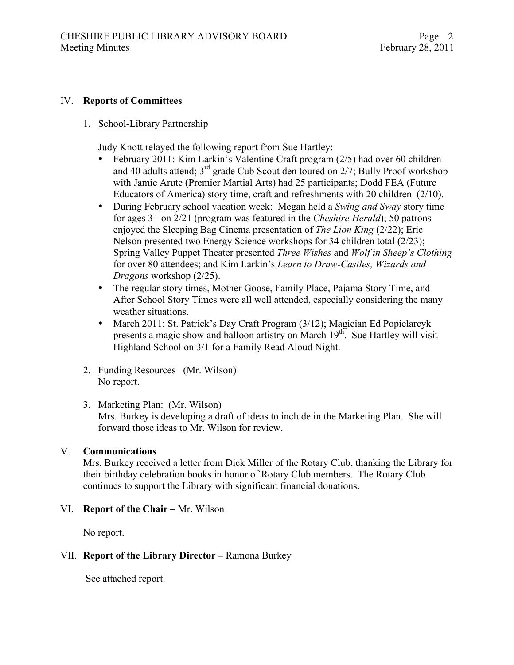#### IV. **Reports of Committees**

1. School-Library Partnership

Judy Knott relayed the following report from Sue Hartley:

- February 2011: Kim Larkin's Valentine Craft program (2/5) had over 60 children and 40 adults attend;  $3^{rd}$  grade Cub Scout den toured on  $2/7$ ; Bully Proof workshop with Jamie Arute (Premier Martial Arts) had 25 participants; Dodd FEA (Future Educators of America) story time, craft and refreshments with 20 children (2/10).
- During February school vacation week: Megan held a *Swing and Sway* story time for ages 3+ on 2/21 (program was featured in the *Cheshire Herald*); 50 patrons enjoyed the Sleeping Bag Cinema presentation of *The Lion King* (2/22); Eric Nelson presented two Energy Science workshops for 34 children total (2/23); Spring Valley Puppet Theater presented *Three Wishes* and *Wolf in Sheep's Clothing* for over 80 attendees; and Kim Larkin's *Learn to Draw-Castles, Wizards and Dragons* workshop (2/25).
- The regular story times, Mother Goose, Family Place, Pajama Story Time, and After School Story Times were all well attended, especially considering the many weather situations.
- March 2011: St. Patrick's Day Craft Program (3/12); Magician Ed Popielarcyk presents a magic show and balloon artistry on March 19<sup>th</sup>. Sue Hartley will visit Highland School on 3/1 for a Family Read Aloud Night.
- 2. Funding Resources (Mr. Wilson) No report.
- 3. Marketing Plan: (Mr. Wilson) Mrs. Burkey is developing a draft of ideas to include in the Marketing Plan. She will forward those ideas to Mr. Wilson for review.

#### V. **Communications**

Mrs. Burkey received a letter from Dick Miller of the Rotary Club, thanking the Library for their birthday celebration books in honor of Rotary Club members. The Rotary Club continues to support the Library with significant financial donations.

### VI. **Report of the Chair –** Mr. Wilson

No report.

### VII. **Report of the Library Director –** Ramona Burkey

See attached report.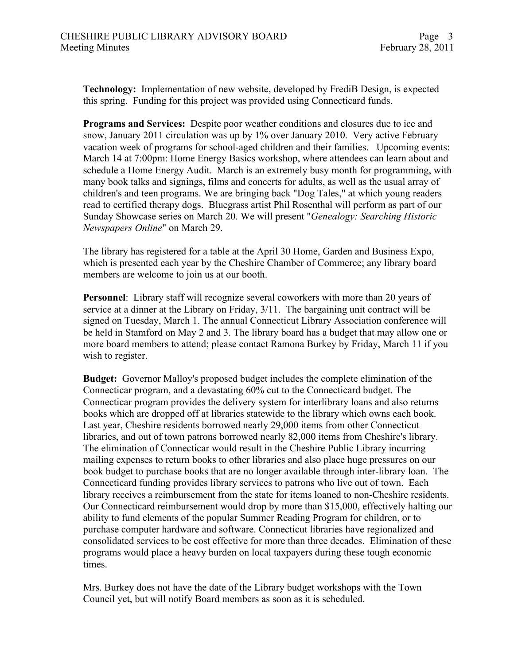**Technology:** Implementation of new website, developed by FrediB Design, is expected this spring. Funding for this project was provided using Connecticard funds.

**Programs and Services:** Despite poor weather conditions and closures due to ice and snow, January 2011 circulation was up by 1% over January 2010. Very active February vacation week of programs for school-aged children and their families. Upcoming events: March 14 at 7:00pm: Home Energy Basics workshop, where attendees can learn about and schedule a Home Energy Audit. March is an extremely busy month for programming, with many book talks and signings, films and concerts for adults, as well as the usual array of children's and teen programs. We are bringing back "Dog Tales," at which young readers read to certified therapy dogs. Bluegrass artist Phil Rosenthal will perform as part of our Sunday Showcase series on March 20. We will present "*Genealogy: Searching Historic Newspapers Online*" on March 29.

The library has registered for a table at the April 30 Home, Garden and Business Expo, which is presented each year by the Cheshire Chamber of Commerce; any library board members are welcome to join us at our booth.

**Personnel**: Library staff will recognize several coworkers with more than 20 years of service at a dinner at the Library on Friday, 3/11. The bargaining unit contract will be signed on Tuesday, March 1. The annual Connecticut Library Association conference will be held in Stamford on May 2 and 3. The library board has a budget that may allow one or more board members to attend; please contact Ramona Burkey by Friday, March 11 if you wish to register.

**Budget:** Governor Malloy's proposed budget includes the complete elimination of the Connecticar program, and a devastating 60% cut to the Connecticard budget. The Connecticar program provides the delivery system for interlibrary loans and also returns books which are dropped off at libraries statewide to the library which owns each book. Last year, Cheshire residents borrowed nearly 29,000 items from other Connecticut libraries, and out of town patrons borrowed nearly 82,000 items from Cheshire's library. The elimination of Connecticar would result in the Cheshire Public Library incurring mailing expenses to return books to other libraries and also place huge pressures on our book budget to purchase books that are no longer available through inter-library loan. The Connecticard funding provides library services to patrons who live out of town. Each library receives a reimbursement from the state for items loaned to non-Cheshire residents. Our Connecticard reimbursement would drop by more than \$15,000, effectively halting our ability to fund elements of the popular Summer Reading Program for children, or to purchase computer hardware and software. Connecticut libraries have regionalized and consolidated services to be cost effective for more than three decades. Elimination of these programs would place a heavy burden on local taxpayers during these tough economic times.

Mrs. Burkey does not have the date of the Library budget workshops with the Town Council yet, but will notify Board members as soon as it is scheduled.